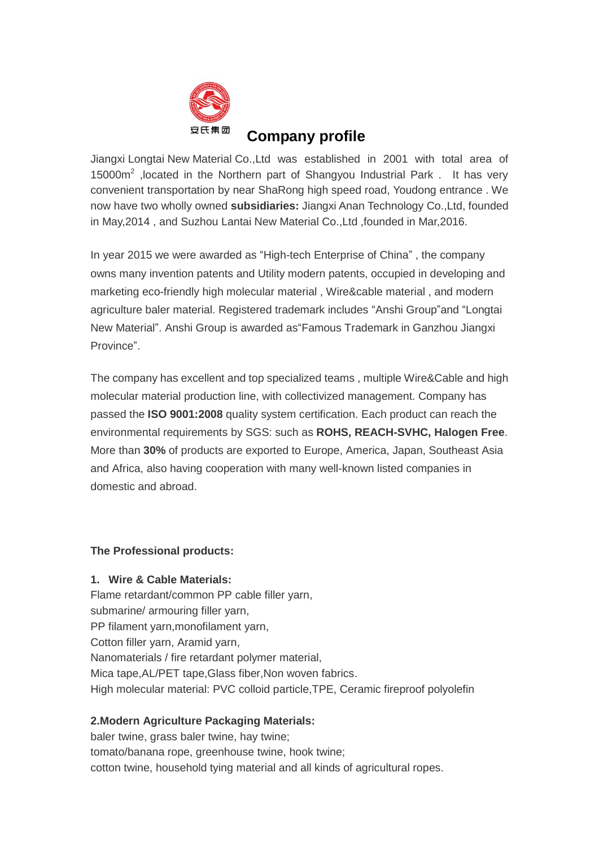

# **Company profile**

Jiangxi Longtai New Material Co.,Ltd was established in 2001 with total area of 15000m<sup>2</sup>, located in the Northern part of Shangyou Industrial Park . It has very convenient transportation by near ShaRong high speed road, Youdong entrance . We now have two wholly owned **subsidiaries:** Jiangxi Anan Technology Co.,Ltd, founded in May,2014 , and Suzhou Lantai New Material Co.,Ltd ,founded in Mar,2016.

In year 2015 we were awarded as "High-tech Enterprise of China" , the company owns many invention patents and Utility modern patents, occupied in developing and marketing eco-friendly high molecular material , Wire&cable material , and modern agriculture baler material. Registered trademark includes "Anshi Group"and "Longtai New Material". Anshi Group is awarded as"Famous Trademark in Ganzhou Jiangxi Province".

The company has excellent and top specialized teams , multiple Wire&Cable and high molecular material production line, with collectivized management. Company has passed the **ISO 9001:2008** quality system certification. Each product can reach the environmental requirements by SGS: such as **ROHS, REACH-SVHC, Halogen Free**. More than **30%** of products are exported to Europe, America, Japan, Southeast Asia and Africa, also having cooperation with many well-known listed companies in domestic and abroad.

#### **The Professional products:**

#### **1. Wire & Cable Materials:**

Flame retardant/common PP cable filler yarn, submarine/ armouring filler yarn, PP filament yarn,monofilament yarn, Cotton filler yarn, Aramid yarn, Nanomaterials / fire retardant polymer material, Mica tape,AL/PET tape,Glass fiber,Non woven fabrics. High molecular material: PVC colloid particle,TPE, Ceramic fireproof polyolefin

### **2.Modern Agriculture Packaging Materials:**

baler twine, grass baler twine, hay twine; tomato/banana rope, greenhouse twine, hook twine; cotton twine, household tying material and all kinds of agricultural ropes.